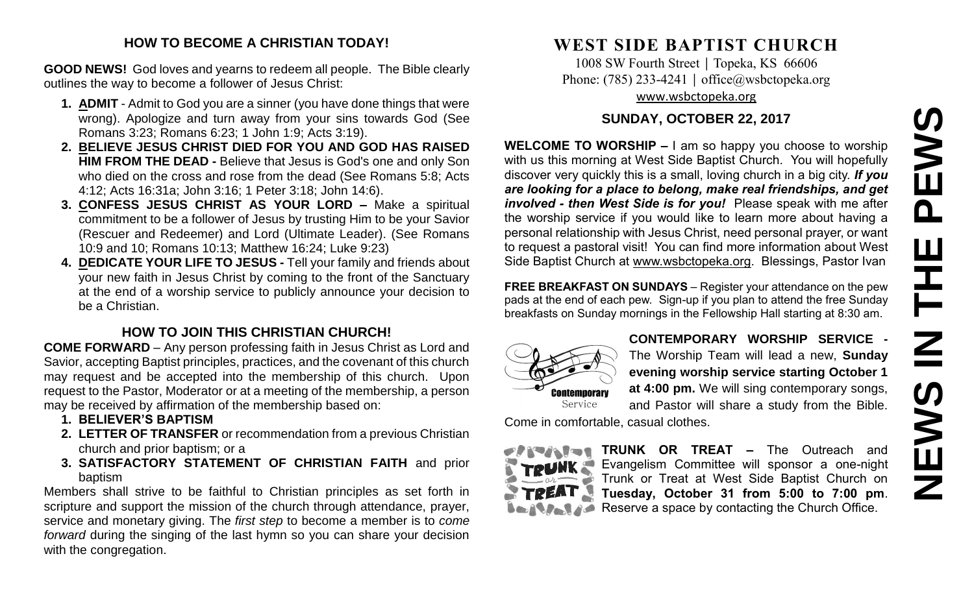# **NEWS IN THE PEWS**PEWS THE  $\overline{\mathbf{z}}$ **SWEMS**

#### **HOW TO BECOME A CHRISTIAN TODAY!**

**GOOD NEWS!** God loves and yearns to redeem all people. The Bible clearly outlines the way to become a follower of Jesus Christ:

- **1. ADMIT** Admit to God you are a sinner (you have done things that were wrong). Apologize and turn away from your sins towards God (See Romans 3:23; Romans 6:23; 1 John 1:9; Acts 3:19).
- **2. BELIEVE JESUS CHRIST DIED FOR YOU AND GOD HAS RAISED HIM FROM THE DEAD -** Believe that Jesus is God's one and only Son who died on the cross and rose from the dead (See Romans 5:8; Acts 4:12; Acts 16:31a; John 3:16; 1 Peter 3:18; John 14:6).
- **3. CONFESS JESUS CHRIST AS YOUR LORD –** Make a spiritual commitment to be a follower of Jesus by trusting Him to be your Savior (Rescuer and Redeemer) and Lord (Ultimate Leader). (See Romans 10:9 and 10; Romans 10:13; Matthew 16:24; Luke 9:23)
- **4. DEDICATE YOUR LIFE TO JESUS -** Tell your family and friends about your new faith in Jesus Christ by coming to the front of the Sanctuary at the end of a worship service to publicly announce your decision to be a Christian.

# **HOW TO JOIN THIS CHRISTIAN CHURCH!**

**COME FORWARD** – Any person professing faith in Jesus Christ as Lord and Savior, accepting Baptist principles, practices, and the covenant of this church may request and be accepted into the membership of this church. Upon request to the Pastor, Moderator or at a meeting of the membership, a person may be received by affirmation of the membership based on:

- **1. BELIEVER'S BAPTISM**
- **2. LETTER OF TRANSFER** or recommendation from a previous Christian church and prior baptism; or a
- **3. SATISFACTORY STATEMENT OF CHRISTIAN FAITH** and prior baptism

Members shall strive to be faithful to Christian principles as set forth in scripture and support the mission of the church through attendance, prayer, service and monetary giving. The *first step* to become a member is to *come forward* during the singing of the last hymn so you can share your decision with the congregation.

# **WEST SIDE BAPTIST CHURCH**

1008 SW Fourth Street | Topeka, KS 66606 Phone: (785) 233-4241 │ [office@wsbctopeka.org](mailto:office@wsbctopeka.org) [www.wsbctopeka.org](http://www.wsbctopeka.org/)

### **SUNDAY, OCTOBER 22, 2017**

**WELCOME TO WORSHIP –** I am so happy you choose to worship with us this morning at West Side Baptist Church. You will hopefully discover very quickly this is a small, loving church in a big city. *If you are looking for a place to belong, make real friendships, and get involved - then West Side is for you!* Please speak with me after the worship service if you would like to learn more about having a personal relationship with Jesus Christ, need personal prayer, or want to request a pastoral visit! You can find more information about West Side Baptist Church at [www.wsbctopeka.org.](http://www.wsbctopeka.org/) Blessings, Pastor Ivan

**FREE BREAKFAST ON SUNDAYS** – Register your attendance on the pew pads at the end of each pew. Sign-up if you plan to attend the free Sunday breakfasts on Sunday mornings in the Fellowship Hall starting at 8:30 am.



**CONTEMPORARY WORSHIP SERVICE -** The Worship Team will lead a new, **Sunday evening worship service starting October 1 at 4:00 pm.** We will sing contemporary songs, and Pastor will share a study from the Bible.

Come in comfortable, casual clothes.



**TRUNK OR TREAT –** The Outreach and Evangelism Committee will sponsor a one-night Trunk or Treat at West Side Baptist Church on **Tuesday, October 31 from 5:00 to 7:00 pm**. Reserve a space by contacting the Church Office.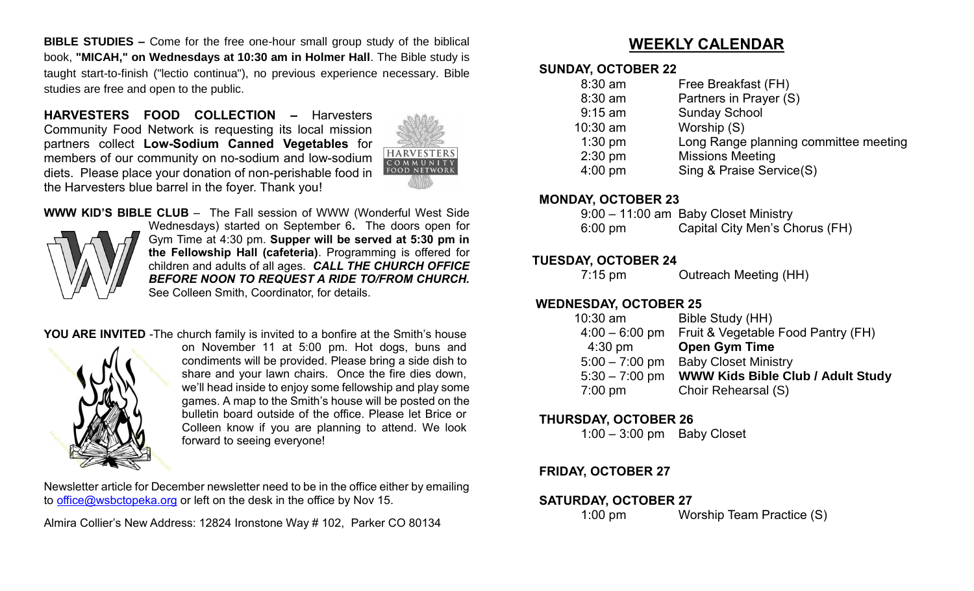**BIBLE STUDIES –** Come for the free one-hour small group study of the biblical book, **"MICAH," on Wednesdays at 10:30 am in Holmer Hall**. The Bible study is taught start-to-finish ("lectio continua"), no previous experience necessary. Bible studies are free and open to the public.

**HARVESTERS FOOD COLLECTION –** Harvesters Community Food Network is requesting its local mission partners collect **Low-Sodium Canned Vegetables** for members of our community on no-sodium and low-sodium diets. Please place your donation of non-perishable food in the Harvesters blue barrel in the foyer. Thank you!



#### **WWW KID'S BIBLE CLUB** – The Fall session of WWW (Wonderful West Side



Wednesdays) started on September 6**.** The doors open for Gym Time at 4:30 pm. **Supper will be served at 5:30 pm in the Fellowship Hall (cafeteria)**. Programming is offered for children and adults of all ages. *CALL THE CHURCH OFFICE BEFORE NOON TO REQUEST A RIDE TO/FROM CHURCH.* See Colleen Smith, Coordinator, for details.

#### **YOU ARE INVITED** -The church family is invited to a bonfire at the Smith's house



on November 11 at 5:00 pm. Hot dogs, buns and condiments will be provided. Please bring a side dish to share and your lawn chairs. Once the fire dies down, we'll head inside to enjoy some fellowship and play some games. A map to the Smith's house will be posted on the bulletin board outside of the office. Please let Brice or Colleen know if you are planning to attend. We look forward to seeing everyone!

Newsletter article for December newsletter need to be in the office either by emailing to [office@wsbctopeka.org](mailto:office@wsbctopeka.org) or left on the desk in the office by Nov 15.

Almira Collier's New Address: 12824 Ironstone Way # 102, Parker CO 80134

# **WEEKLY CALENDAR**

#### **SUNDAY, OCTOBER 22**

| $8:30$ am | Free Breakfast (FH)                   |
|-----------|---------------------------------------|
| $8:30$ am | Partners in Prayer (S)                |
| $9:15$ am | <b>Sunday School</b>                  |
| 10:30 am  | Worship (S)                           |
| $1:30$ pm | Long Range planning committee meeting |
| $2:30$ pm | <b>Missions Meeting</b>               |
| $4:00$ pm | Sing & Praise Service(S)              |
|           |                                       |

#### **MONDAY, OCTOBER 23**

|                   | 9:00 - 11:00 am Baby Closet Ministry |
|-------------------|--------------------------------------|
| $6:00 \text{ pm}$ | Capital City Men's Chorus (FH)       |

#### **TUESDAY, OCTOBER 24**

7:15 pm Outreach Meeting (HH)

#### **WEDNESDAY, OCTOBER 25**

| $10:30$ am        | Bible Study (HH)                         |
|-------------------|------------------------------------------|
| $4:00 - 6:00$ pm  | Fruit & Vegetable Food Pantry (FH)       |
| $4:30$ pm         | <b>Open Gym Time</b>                     |
| $5:00 - 7:00$ pm  | <b>Baby Closet Ministry</b>              |
| $5:30 - 7:00$ pm  | <b>WWW Kids Bible Club / Adult Study</b> |
| $7:00 \text{ pm}$ | Choir Rehearsal (S)                      |

#### **THURSDAY, OCTOBER 26**

1:00 – 3:00 pm Baby Closet

#### **FRIDAY, OCTOBER 27**

#### **SATURDAY, OCTOBER 27**

1:00 pm Worship Team Practice (S)